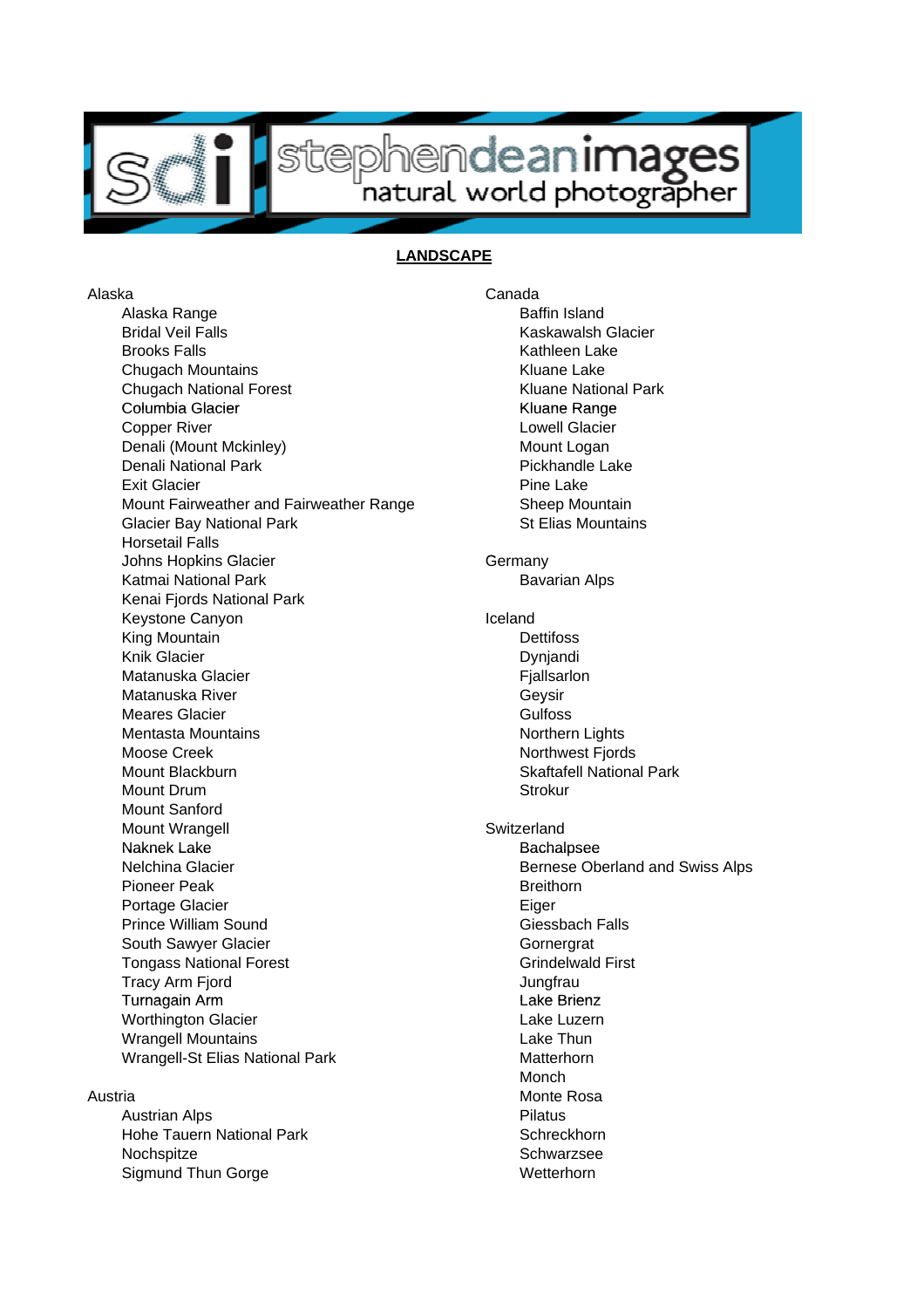

## stephendeanimages

## **LANDSCAPE**

Alaska Range **Baffin** Island Bridal Veil Falls **Kaskawalsh Glacier** Kaskawalsh Glacier Brooks Falls **Kathleen Lake** Chugach Mountains Kluane Lake Chugach National Forest **Kluane National Park** Kluane National Park Columbia Glacier Kluane Range Columbia Kluane **Copper River Copper River Copper River Copper River Copper River Copper River Copper River Copper River Copper** Denali (Mount Mckinley) Mount Logan Denali National Park **Pickhandle Lake** Pickhandle Lake Exit Glacier **Pine Lake** Mount Fairweather and Fairweather Range Sheep Mountain Glacier Bay National Park St Elias Mountains Horsetail Falls Johns Hopkins Glacier Germany Germany Katmai National Park **Bavarian Alps** Bavarian Alps Kenai Fjords National Park Keystone Canyon **Iceland Iceland** King Mountain **Dettifoss** Knik Glacier **Dyniandi** Matanuska Glacier **Fiallsarion** Matanuska River **Geysir** Geysir Meares Glacier **Gulfoss** Gulfoss Mentasta Mountains Northern Lights Moose Creek Northwest Fjords Mount Blackburn Skaftafell National Park Mount Drum Strokur Mount Sanford Mount Wrangell **Mount Wrangell** Switzerland Naknek Lake **Naknek Lake** Naknek Bachalpsee Nelchina Glacier **Bernese Oberland and Swiss Alps** Bernese Oberland and Swiss Alps Pioneer Peak **Breithorn** Portage Glacier **Eiger** Eiger Prince William Sound Giessbach Falls South Sawyer Glacier Gornergrat Gornergrat Tongass National Forest Grindelwald First Tracy Arm Fjord **International Contract Contract Contract Contract Contract Contract Contract Contract Contract Contract Contract Contract Contract Contract Contract Contract Contract Contract Contract Contract Contract Co** Turnagain Arm Lake Brienz Worthington Glacier **Lake Luzern Lake Luzern** Wrangell Mountains **Lake Thun** Wrangell-St Elias National Park Matterhorn

Austrian Alps **Pilatus Pilatus** Hohe Tauern National Park Schreckhorn Nochspitze Schwarzsee Sigmund Thun Gorge Wetterhorn

Alaska Canada Monch Austria **Monte Rosa**